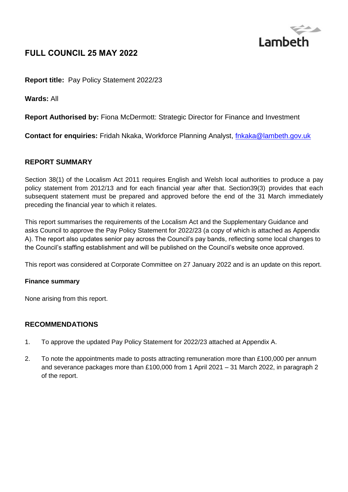

# **FULL COUNCIL 25 MAY 2022**

**Report title:** Pay Policy Statement 2022/23

**Wards:** All

**Report Authorised by:** Fiona McDermott: Strategic Director for Finance and Investment

**Contact for enquiries:** Fridah Nkaka, Workforce Planning Analyst, *fnkaka@lambeth.gov.uk* 

#### **REPORT SUMMARY**

Section 38(1) of the Localism Act 2011 requires English and Welsh local authorities to produce a pay policy statement from 2012/13 and for each financial year after that. Section39(3) provides that each subsequent statement must be prepared and approved before the end of the 31 March immediately preceding the financial year to which it relates.

This report summarises the requirements of the Localism Act and the Supplementary Guidance and asks Council to approve the Pay Policy Statement for 2022/23 (a copy of which is attached as Appendix A). The report also updates senior pay across the Council's pay bands, reflecting some local changes to the Council's staffing establishment and will be published on the Council's website once approved.

This report was considered at Corporate Committee on 27 January 2022 and is an update on this report.

#### **Finance summary**

None arising from this report.

#### **RECOMMENDATIONS**

- 1. To approve the updated Pay Policy Statement for 2022/23 attached at Appendix A.
- 2. To note the appointments made to posts attracting remuneration more than £100,000 per annum and severance packages more than £100,000 from 1 April 2021 – 31 March 2022, in paragraph 2 of the report.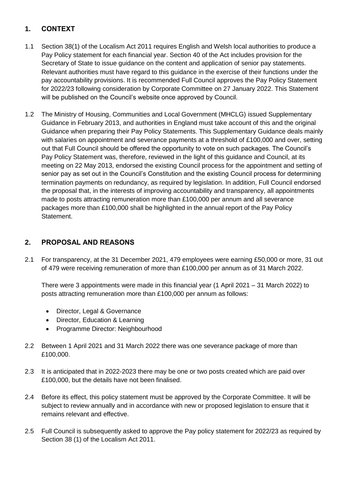## **1. CONTEXT**

- 1.1 Section 38(1) of the Localism Act 2011 requires English and Welsh local authorities to produce a Pay Policy statement for each financial year. Section 40 of the Act includes provision for the Secretary of State to issue guidance on the content and application of senior pay statements. Relevant authorities must have regard to this guidance in the exercise of their functions under the pay accountability provisions. It is recommended Full Council approves the Pay Policy Statement for 2022/23 following consideration by Corporate Committee on 27 January 2022. This Statement will be published on the Council's website once approved by Council.
- 1.2 The Ministry of Housing, Communities and Local Government (MHCLG) issued Supplementary Guidance in February 2013, and authorities in England must take account of this and the original Guidance when preparing their Pay Policy Statements. This Supplementary Guidance deals mainly with salaries on appointment and severance payments at a threshold of £100,000 and over, setting out that Full Council should be offered the opportunity to vote on such packages. The Council's Pay Policy Statement was, therefore, reviewed in the light of this guidance and Council, at its meeting on 22 May 2013, endorsed the existing Council process for the appointment and setting of senior pay as set out in the Council's Constitution and the existing Council process for determining termination payments on redundancy, as required by legislation. In addition, Full Council endorsed the proposal that, in the interests of improving accountability and transparency, all appointments made to posts attracting remuneration more than £100,000 per annum and all severance packages more than £100,000 shall be highlighted in the annual report of the Pay Policy Statement.

### **2. PROPOSAL AND REASONS**

2.1 For transparency, at the 31 December 2021, 479 employees were earning £50,000 or more, 31 out of 479 were receiving remuneration of more than £100,000 per annum as of 31 March 2022.

There were 3 appointments were made in this financial year (1 April 2021 – 31 March 2022) to posts attracting remuneration more than £100,000 per annum as follows:

- Director, Legal & Governance
- Director, Education & Learning
- Programme Director: Neighbourhood
- 2.2 Between 1 April 2021 and 31 March 2022 there was one severance package of more than £100,000.
- 2.3 It is anticipated that in 2022-2023 there may be one or two posts created which are paid over £100,000, but the details have not been finalised.
- 2.4 Before its effect, this policy statement must be approved by the Corporate Committee. It will be subject to review annually and in accordance with new or proposed legislation to ensure that it remains relevant and effective.
- 2.5 Full Council is subsequently asked to approve the Pay policy statement for 2022/23 as required by Section 38 (1) of the Localism Act 2011.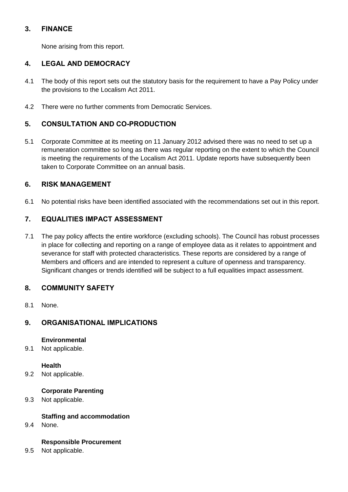### **3. FINANCE**

None arising from this report.

### **4. LEGAL AND DEMOCRACY**

- 4.1 The body of this report sets out the statutory basis for the requirement to have a Pay Policy under the provisions to the Localism Act 2011.
- 4.2 There were no further comments from Democratic Services.

## **5. CONSULTATION AND CO-PRODUCTION**

5.1 Corporate Committee at its meeting on 11 January 2012 advised there was no need to set up a remuneration committee so long as there was regular reporting on the extent to which the Council is meeting the requirements of the Localism Act 2011. Update reports have subsequently been taken to Corporate Committee on an annual basis.

### **6. RISK MANAGEMENT**

6.1 No potential risks have been identified associated with the recommendations set out in this report.

## **7. EQUALITIES IMPACT ASSESSMENT**

7.1 The pay policy affects the entire workforce (excluding schools). The Council has robust processes in place for collecting and reporting on a range of employee data as it relates to appointment and severance for staff with protected characteristics. These reports are considered by a range of Members and officers and are intended to represent a culture of openness and transparency. Significant changes or trends identified will be subject to a full equalities impact assessment.

### **8. COMMUNITY SAFETY**

8.1 None.

## **9. ORGANISATIONAL IMPLICATIONS**

#### **Environmental**

9.1 Not applicable.

#### **Health**

9.2 Not applicable.

#### **Corporate Parenting**

9.3 Not applicable.

### **Staffing and accommodation**

9.4 None.

#### **Responsible Procurement**

9.5 Not applicable.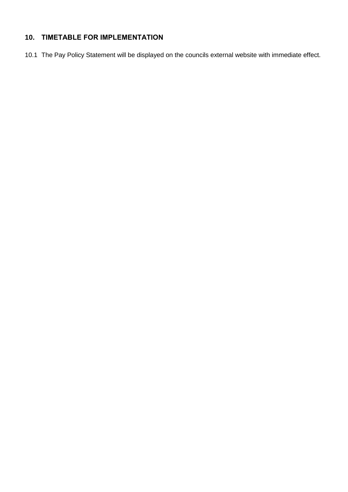# **10. TIMETABLE FOR IMPLEMENTATION**

10.1 The Pay Policy Statement will be displayed on the councils external website with immediate effect.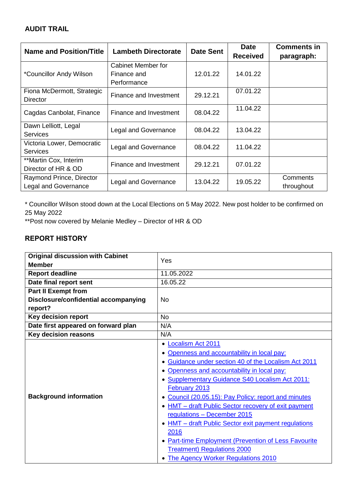### **AUDIT TRAIL**

| <b>Name and Position/Title</b>         | <b>Lambeth Directorate</b>  | <b>Date Sent</b> | <b>Date</b>     | <b>Comments in</b> |
|----------------------------------------|-----------------------------|------------------|-----------------|--------------------|
|                                        |                             |                  | <b>Received</b> | paragraph:         |
|                                        | Cabinet Member for          |                  |                 |                    |
| *Councillor Andy Wilson                | Finance and                 | 12.01.22         | 14.01.22        |                    |
|                                        | Performance                 |                  |                 |                    |
| Fiona McDermott, Strategic<br>Director | Finance and Investment      | 29.12.21         | 07.01.22        |                    |
| Cagdas Canbolat, Finance               | Finance and Investment      | 08.04.22         | 11.04.22        |                    |
| Dawn Lelliott, Legal                   | <b>Legal and Governance</b> | 08.04.22         | 13.04.22        |                    |
| <b>Services</b>                        |                             |                  |                 |                    |
| Victoria Lower, Democratic             | <b>Legal and Governance</b> | 08.04.22         | 11.04.22        |                    |
| <b>Services</b>                        |                             |                  |                 |                    |
| **Martin Cox, Interim                  | Finance and Investment      | 29.12.21         | 07.01.22        |                    |
| Director of HR & OD                    |                             |                  |                 |                    |
| Raymond Prince, Director               | <b>Legal and Governance</b> | 13.04.22         | 19.05.22        | Comments           |
| <b>Legal and Governance</b>            |                             |                  |                 | throughout         |

\* Councillor Wilson stood down at the Local Elections on 5 May 2022. New post holder to be confirmed on 25 May 2022

\*\*Post now covered by Melanie Medley – Director of HR & OD

## **REPORT HISTORY**

| <b>Original discussion with Cabinet</b> | Yes                                                                                                                                                                                                                                                                                                                                                                                                                                                                                                                                                                                               |  |  |
|-----------------------------------------|---------------------------------------------------------------------------------------------------------------------------------------------------------------------------------------------------------------------------------------------------------------------------------------------------------------------------------------------------------------------------------------------------------------------------------------------------------------------------------------------------------------------------------------------------------------------------------------------------|--|--|
| <b>Member</b>                           |                                                                                                                                                                                                                                                                                                                                                                                                                                                                                                                                                                                                   |  |  |
| <b>Report deadline</b>                  | 11.05.2022                                                                                                                                                                                                                                                                                                                                                                                                                                                                                                                                                                                        |  |  |
| Date final report sent                  | 16.05.22                                                                                                                                                                                                                                                                                                                                                                                                                                                                                                                                                                                          |  |  |
| <b>Part II Exempt from</b>              |                                                                                                                                                                                                                                                                                                                                                                                                                                                                                                                                                                                                   |  |  |
| Disclosure/confidential accompanying    | N <sub>0</sub>                                                                                                                                                                                                                                                                                                                                                                                                                                                                                                                                                                                    |  |  |
| report?                                 |                                                                                                                                                                                                                                                                                                                                                                                                                                                                                                                                                                                                   |  |  |
| <b>Key decision report</b>              | <b>No</b>                                                                                                                                                                                                                                                                                                                                                                                                                                                                                                                                                                                         |  |  |
| Date first appeared on forward plan     | N/A                                                                                                                                                                                                                                                                                                                                                                                                                                                                                                                                                                                               |  |  |
| <b>Key decision reasons</b>             | N/A                                                                                                                                                                                                                                                                                                                                                                                                                                                                                                                                                                                               |  |  |
| <b>Background information</b>           | <b>Localism Act 2011</b><br>Openness and accountability in local pay:<br>• Guidance under section 40 of the Localism Act 2011<br>Openness and accountability in local pay:<br>• Supplementary Guidance S40 Localism Act 2011:<br>February 2013<br>Council (20.05.15): Pay Policy: report and minutes<br>• HMT - draft Public Sector recovery of exit payment<br>regulations - December 2015<br>• HMT - draft Public Sector exit payment regulations<br>2016<br>• Part-time Employment (Prevention of Less Favourite<br><b>Treatment) Regulations 2000</b><br>• The Agency Worker Regulations 2010 |  |  |